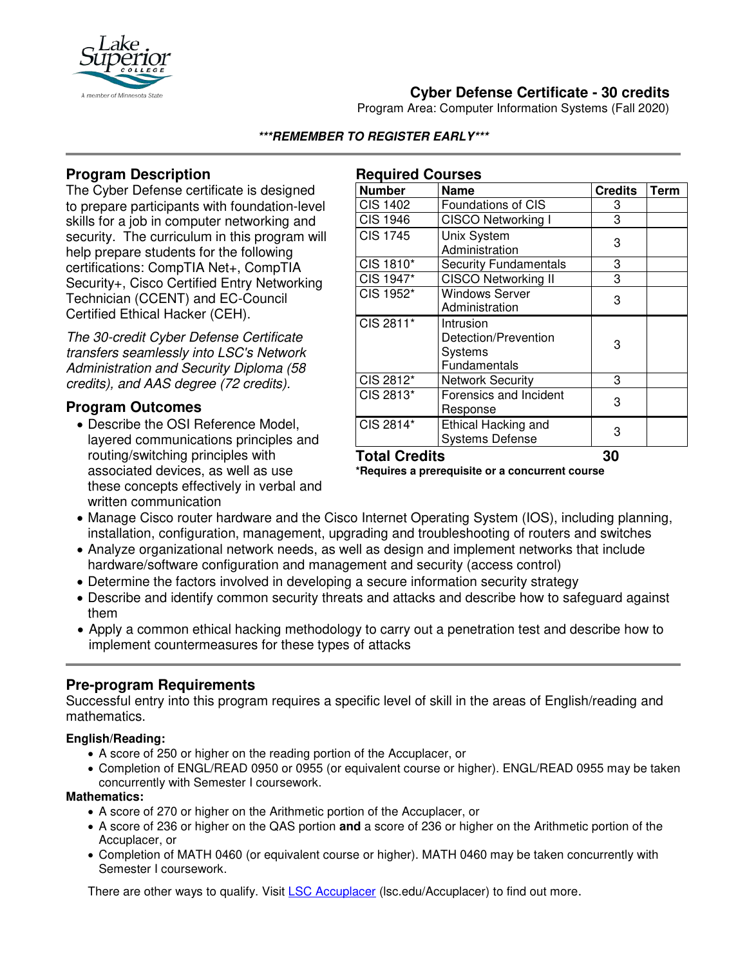

# **Cyber Defense Certificate - 30 credits**

Program Area: Computer Information Systems (Fall 2020)

**\*\*\*REMEMBER TO REGISTER EARLY\*\*\***

**Required Courses**

## **Program Description**

The Cyber Defense certificate is designed to prepare participants with foundation-level skills for a job in computer networking and security. The curriculum in this program will help prepare students for the following certifications: CompTIA Net+, CompTIA Security+, Cisco Certified Entry Networking Technician (CCENT) and EC-Council Certified Ethical Hacker (CEH).

*The 30-credit Cyber Defense Certificate transfers seamlessly into LSC's Network Administration and Security Diploma (58 credits), and AAS degree (72 credits).* 

### **Program Outcomes**

• Describe the OSI Reference Model, layered communications principles and routing/switching principles with associated devices, as well as use these concepts effectively in verbal and written communication

| <b>Number</b>   | <b>Name</b>                                                         | <b>Credits</b> | <b>Term</b> |
|-----------------|---------------------------------------------------------------------|----------------|-------------|
| <b>CIS 1402</b> | Foundations of CIS                                                  | 3              |             |
| <b>CIS 1946</b> | <b>CISCO Networking I</b>                                           | 3              |             |
| <b>CIS 1745</b> | Unix System<br>Administration                                       | 3              |             |
| CIS 1810*       | <b>Security Fundamentals</b>                                        | 3              |             |
| CIS 1947*       | CISCO Networking II                                                 | 3              |             |
| CIS 1952*       | <b>Windows Server</b><br>Administration                             | 3              |             |
| CIS 2811*       | Intrusion<br>Detection/Prevention<br><b>Systems</b><br>Fundamentals | 3              |             |
| CIS 2812*       | <b>Network Security</b>                                             | 3              |             |
| CIS 2813*       | Forensics and Incident<br>Response                                  | 3              |             |
| CIS 2814*       | Ethical Hacking and<br><b>Systems Defense</b>                       | 3              |             |

### **Total Credits 30**

**\*Requires a prerequisite or a concurrent course**

- Manage Cisco router hardware and the Cisco Internet Operating System (IOS), including planning, installation, configuration, management, upgrading and troubleshooting of routers and switches
- Analyze organizational network needs, as well as design and implement networks that include hardware/software configuration and management and security (access control)
- Determine the factors involved in developing a secure information security strategy
- Describe and identify common security threats and attacks and describe how to safeguard against them
- Apply a common ethical hacking methodology to carry out a penetration test and describe how to implement countermeasures for these types of attacks

### **Pre-program Requirements**

Successful entry into this program requires a specific level of skill in the areas of English/reading and mathematics.

### **English/Reading:**

- A score of 250 or higher on the reading portion of the Accuplacer, or
- Completion of ENGL/READ 0950 or 0955 (or equivalent course or higher). ENGL/READ 0955 may be taken concurrently with Semester I coursework.

#### **Mathematics:**

- A score of 270 or higher on the Arithmetic portion of the Accuplacer, or
- A score of 236 or higher on the QAS portion **and** a score of 236 or higher on the Arithmetic portion of the Accuplacer, or
- Completion of MATH 0460 (or equivalent course or higher). MATH 0460 may be taken concurrently with Semester I coursework.

There are other ways to qualify. Visit LSC Accuplacer (Isc.edu/Accuplacer) to find out more.